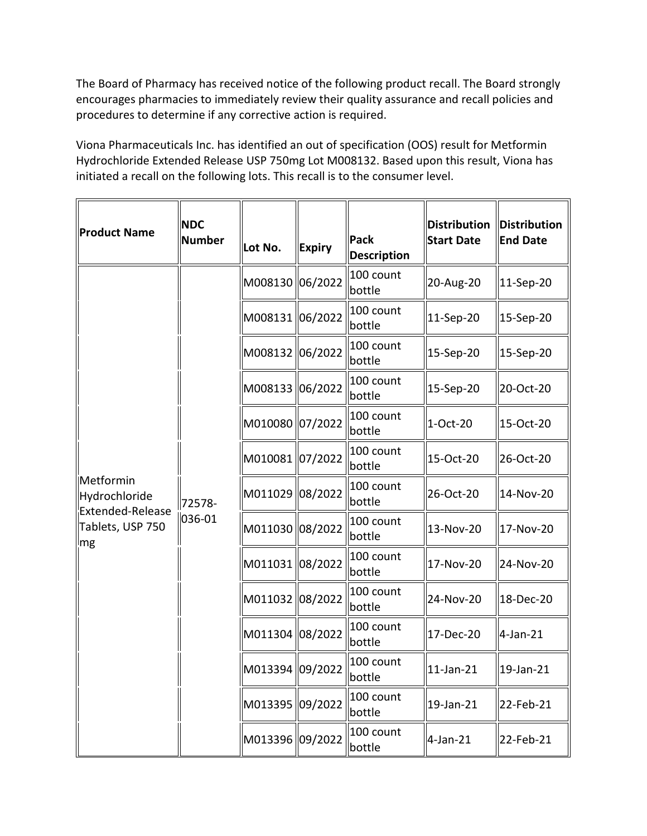The Board of Pharmacy has received notice of the following product recall. The Board strongly encourages pharmacies to immediately review their quality assurance and recall policies and procedures to determine if any corrective action is required.

 Viona Pharmaceuticals Inc. has identified an out of specification (OOS) result for Metformin Hydrochloride Extended Release USP 750mg Lot M008132. Based upon this result, Viona has initiated a recall on the following lots. This recall is to the consumer level.

| Product Name                                                             | <b>NDC</b><br>Number | Lot No.            | <b>Expiry</b> | <b>Pack</b><br><b>Description</b> | <b>Distribution</b><br><b>Start Date</b> | <b>Distribution</b><br><b>End Date</b> |
|--------------------------------------------------------------------------|----------------------|--------------------|---------------|-----------------------------------|------------------------------------------|----------------------------------------|
| Metformin<br>Hydrochloride<br>Extended-Release<br>Tablets, USP 750<br>mg | 72578-<br>036-01     | M008130 06/2022    |               | 100 count<br>bottle               | 20-Aug-20                                | 11-Sep-20                              |
|                                                                          |                      | M008131 06/2022    |               | 100 count<br>bottle               | 11-Sep-20                                | 15-Sep-20                              |
|                                                                          |                      | M008132 06/2022    |               | 100 count<br>bottle               | 15-Sep-20                                | 15-Sep-20                              |
|                                                                          |                      | M008133 06/2022    |               | 100 count<br>bottle               | 15-Sep-20                                | 20-Oct-20                              |
|                                                                          |                      | M010080 07/2022    |               | 100 count<br>bottle               | 1-Oct-20                                 | 15-Oct-20                              |
|                                                                          |                      | M010081 07/2022    |               | 100 count<br>bottle               | 15-Oct-20                                | 26-Oct-20                              |
|                                                                          |                      | M011029 08/2022    |               | 100 count<br>bottle               | 26-Oct-20                                | 14-Nov-20                              |
|                                                                          |                      | M011030 08/2022    |               | 100 count<br>bottle               | 13-Nov-20                                | 17-Nov-20                              |
|                                                                          |                      | M011031 08/2022    |               | 100 count<br>bottle               | 17-Nov-20                                | 24-Nov-20                              |
|                                                                          |                      | M011032 08/2022    |               | 100 count<br>bottle               | 24-Nov-20                                | 18-Dec-20                              |
|                                                                          |                      | M011304 08/2022    |               | 100 count<br>bottle               | 17-Dec-20                                | 4-Jan-21                               |
|                                                                          |                      | lM013394 ll09/2022 |               | 100 count<br>bottle               | 11-Jan-21                                | 19-Jan-21                              |
|                                                                          |                      | M013395 09/2022    |               | 100 count<br>bottle               | 19-Jan-21                                | 22-Feb-21                              |
|                                                                          |                      | M013396 09/2022    |               | 100 count<br>bottle               | $4$ -Jan-21                              | 22-Feb-21                              |